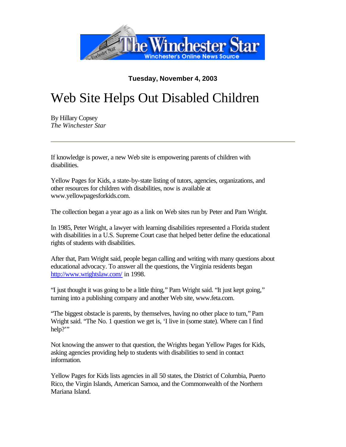

## **Tuesday, November 4, 2003**

## Web Site Helps Out Disabled Children

By Hillary Copsey *The Winchester Star*

If knowledge is power, a new Web site is empowering parents of children with disabilities.

Yellow Pages for Kids, a state-by-state listing of tutors, agencies, organizations, and other resources for children with disabilities, now is available at www.yellowpagesforkids.com.

The collection began a year ago as a link on Web sites run by Peter and Pam Wright.

In 1985, Peter Wright, a lawyer with learning disabilities represented a Florida student with disabilities in a U.S. Supreme Court case that helped better define the educational rights of students with disabilities.

After that, Pam Wright said, people began calling and writing with many questions about educational advocacy. To answer all the questions, the Virginia residents began http://www.wrightslaw.com/ in 1998.

"I just thought it was going to be a little thing," Pam Wright said. "It just kept going," turning into a publishing company and another Web site, www.feta.com.

"The biggest obstacle is parents, by themselves, having no other place to turn," Pam Wright said. "The No. 1 question we get is, 'I live in (some state). Where can I find help?"

Not knowing the answer to that question, the Wrights began Yellow Pages for Kids, asking agencies providing help to students with disabilities to send in contact information.

Yellow Pages for Kids lists agencies in all 50 states, the District of Columbia, Puerto Rico, the Virgin Islands, American Samoa, and the Commonwealth of the Northern Mariana Island.